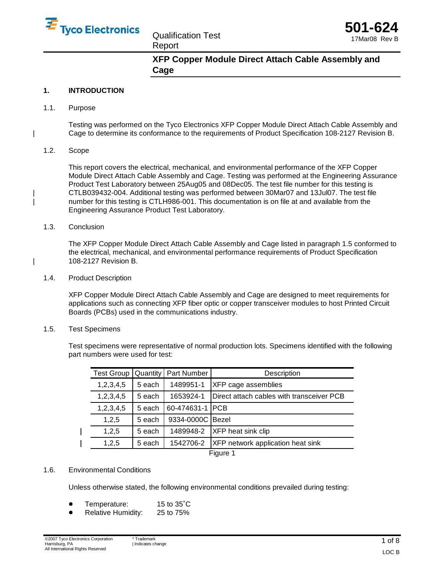

Qualification Test Report



**XFP Copper Module Direct Attach Cable Assembly and Cage**

# **1. INTRODUCTION**

1.1. Purpose

Testing was performed on the Tyco Electronics XFP Copper Module Direct Attach Cable Assembly and | Cage to determine its conformance to the requirements of Product Specification 108-2127 Revision B.

## 1.2. Scope

This report covers the electrical, mechanical, and environmental performance of the XFP Copper Module Direct Attach Cable Assembly and Cage. Testing was performed at the Engineering Assurance Product Test Laboratory between 25Aug05 and 08Dec05. The test file number for this testing is | CTLB039432-004. Additional testing was performed between 30Mar07 and 13Jul07. The test file | number for this testing is CTLH986-001. This documentation is on file at and available from the Engineering Assurance Product Test Laboratory.

#### 1.3. Conclusion

The XFP Copper Module Direct Attach Cable Assembly and Cage listed in paragraph 1.5 conformed to the electrical, mechanical, and environmental performance requirements of Product Specification | 108-2127 Revision B.

#### 1.4. Product Description

XFP Copper Module Direct Attach Cable Assembly and Cage are designed to meet requirements for applications such as connecting XFP fiber optic or copper transceiver modules to host Printed Circuit Boards (PCBs) used in the communications industry.

## 1.5. Test Specimens

Test specimens were representative of normal production lots. Specimens identified with the following part numbers were used for test:

| <b>Test Group</b> | Quantity | Part Number      | Description                               |  |  |  |
|-------------------|----------|------------------|-------------------------------------------|--|--|--|
| 1,2,3,4,5         | 5 each   | 1489951-1        | XFP cage assemblies                       |  |  |  |
| 1, 2, 3, 4, 5     | 5 each   | 1653924-1        | Direct attach cables with transceiver PCB |  |  |  |
| 1,2,3,4,5         | 5 each   | 60-474631-1      | <b>PCB</b>                                |  |  |  |
| 1,2,5             | 5 each   | 9334-0000C Bezel |                                           |  |  |  |
| 1,2,5             | 5 each   | 1489948-2        | <b>XFP</b> heat sink clip                 |  |  |  |
| 1,2,5             | 5 each   | 1542706-2        | XFP network application heat sink         |  |  |  |
| Figure 1          |          |                  |                                           |  |  |  |

## 1.6. Environmental Conditions

Unless otherwise stated, the following environmental conditions prevailed during testing:

- Temperature: 15 to 35<br>● Relative Humidity: 25 to 75 15 to  $35^{\circ}$ C<br>25 to 75%
- Relative Humidity: 25 to 75%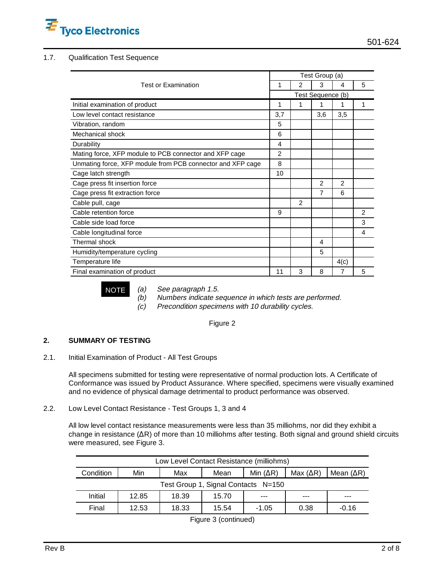

# 1.7. Qualification Test Sequence

|                                                            | Test Group (a)    |                |                |      |   |  |
|------------------------------------------------------------|-------------------|----------------|----------------|------|---|--|
| <b>Test or Examination</b>                                 | 1                 | 2              | 3              | 4    | 5 |  |
|                                                            | Test Sequence (b) |                |                |      |   |  |
| Initial examination of product                             | 1                 | 1              | 1              | 1    | 1 |  |
| Low level contact resistance                               | 3,7               |                | 3,6            | 3,5  |   |  |
| Vibration, random                                          | 5                 |                |                |      |   |  |
| Mechanical shock                                           | 6                 |                |                |      |   |  |
| Durability                                                 | 4                 |                |                |      |   |  |
| Mating force, XFP module to PCB connector and XFP cage     | 2                 |                |                |      |   |  |
| Unmating force, XFP module from PCB connector and XFP cage | 8                 |                |                |      |   |  |
| Cage latch strength                                        | 10                |                |                |      |   |  |
| Cage press fit insertion force                             |                   |                | $\overline{2}$ | 2    |   |  |
| Cage press fit extraction force                            |                   |                | 7              | 6    |   |  |
| Cable pull, cage                                           |                   | $\mathfrak{p}$ |                |      |   |  |
| Cable retention force                                      | 9                 |                |                |      | 2 |  |
| Cable side load force                                      |                   |                |                |      | 3 |  |
| Cable longitudinal force                                   |                   |                |                |      | 4 |  |
| Thermal shock                                              |                   |                | 4              |      |   |  |
| Humidity/temperature cycling                               |                   |                | 5              |      |   |  |
| Temperature life                                           |                   |                |                | 4(c) |   |  |
| Final examination of product                               | 11                | 3              | 8              | 7    | 5 |  |

NOTE (a) See paragraph 1.5.<br>(b) Numbers indicate s Numbers indicate sequence in which tests are performed.

(c) Precondition specimens with 10 durability cycles.

Figure 2

# **2. SUMMARY OF TESTING**

2.1. Initial Examination of Product - All Test Groups

All specimens submitted for testing were representative of normal production lots. A Certificate of Conformance was issued by Product Assurance. Where specified, specimens were visually examined and no evidence of physical damage detrimental to product performance was observed.

2.2. Low Level Contact Resistance - Test Groups 1, 3 and 4

All low level contact resistance measurements were less than 35 milliohms, nor did they exhibit a change in resistance  $(AR)$  of more than 10 milliohms after testing. Both signal and ground shield circuits were measured, see Figure 3.

| Low Level Contact Resistance (milliohms)             |       |       |            |                    |      |         |  |  |
|------------------------------------------------------|-------|-------|------------|--------------------|------|---------|--|--|
| Min $( \Delta R)$<br>Min<br>Condition<br>Max<br>Mean |       |       | Max $(AR)$ | Mean $( \Delta R)$ |      |         |  |  |
| Test Group 1, Signal Contacts N=150                  |       |       |            |                    |      |         |  |  |
| Initial                                              | 12.85 | 18.39 | 15.70      | ---                | ---  | ---     |  |  |
| Final                                                | 12.53 | 18.33 | 15.54      | $-1.05$            | 0.38 | $-0.16$ |  |  |

Figure 3 (continued)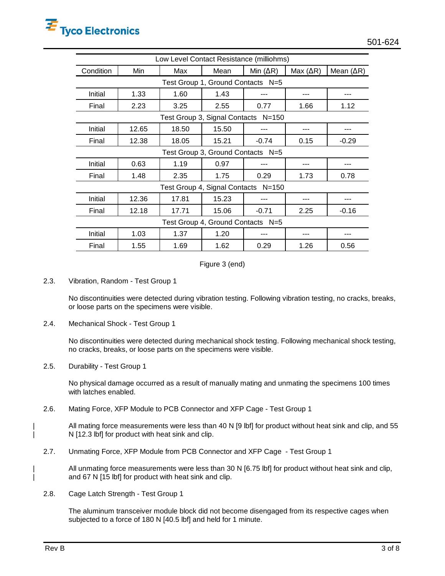| Low Level Contact Resistance (milliohms)   |       |       |       |            |                    |             |  |  |  |
|--------------------------------------------|-------|-------|-------|------------|--------------------|-------------|--|--|--|
| Condition                                  | Min   | Max   | Mean  | Min $(AR)$ | Max $( \Delta R )$ | Mean $(AR)$ |  |  |  |
| Test Group 1, Ground Contacts N=5          |       |       |       |            |                    |             |  |  |  |
| Initial                                    | 1.33  | 1.60  | 1.43  |            | ---                | ---         |  |  |  |
| Final                                      | 2.23  | 3.25  | 2.55  | 0.77       | 1.66               | 1.12        |  |  |  |
| Test Group 3, Signal Contacts N=150        |       |       |       |            |                    |             |  |  |  |
| Initial                                    | 12.65 | 18.50 | 15.50 | ---        | ---                |             |  |  |  |
| Final                                      | 12.38 | 18.05 | 15.21 | $-0.74$    | 0.15               | $-0.29$     |  |  |  |
| Test Group 3, Ground Contacts N=5          |       |       |       |            |                    |             |  |  |  |
| Initial                                    | 0.63  | 1.19  | 0.97  |            |                    |             |  |  |  |
| Final                                      | 1.48  | 2.35  | 1.75  | 0.29       | 1.73               | 0.78        |  |  |  |
| Test Group 4, Signal Contacts<br>$N = 150$ |       |       |       |            |                    |             |  |  |  |
| Initial                                    | 12.36 | 17.81 | 15.23 |            |                    |             |  |  |  |
| Final                                      | 12.18 | 17.71 | 15.06 | $-0.71$    | 2.25               | $-0.16$     |  |  |  |
| Test Group 4, Ground Contacts N=5          |       |       |       |            |                    |             |  |  |  |
| Initial                                    | 1.03  | 1.37  | 1.20  |            | ---                |             |  |  |  |
| Final                                      | 1.55  | 1.69  | 1.62  | 0.29       | 1.26               | 0.56        |  |  |  |

Figure 3 (end)

2.3. Vibration, Random - Test Group 1

No discontinuities were detected during vibration testing. Following vibration testing, no cracks, breaks, or loose parts on the specimens were visible.

2.4. Mechanical Shock - Test Group 1

No discontinuities were detected during mechanical shock testing. Following mechanical shock testing, no cracks, breaks, or loose parts on the specimens were visible.

2.5. Durability - Test Group 1

No physical damage occurred as a result of manually mating and unmating the specimens 100 times with latches enabled.

2.6. Mating Force, XFP Module to PCB Connector and XFP Cage - Test Group 1

All mating force measurements were less than 40 N [9 lbf] for product without heat sink and clip, and 55 N [12.3 lbf] for product with heat sink and clip.

2.7. Unmating Force, XFP Module from PCB Connector and XFP Cage - Test Group 1

All unmating force measurements were less than 30 N [6.75 lbf] for product without heat sink and clip, | and 67 N [15 lbf] for product with heat sink and clip.

2.8. Cage Latch Strength - Test Group 1

The aluminum transceiver module block did not become disengaged from its respective cages when subjected to a force of 180 N [40.5 lbf] and held for 1 minute.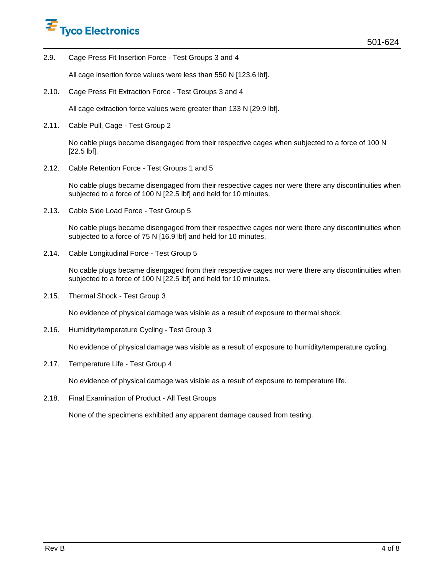

2.9. Cage Press Fit Insertion Force - Test Groups 3 and 4

All cage insertion force values were less than 550 N [123.6 lbf].

2.10. Cage Press Fit Extraction Force - Test Groups 3 and 4

All cage extraction force values were greater than 133 N [29.9 lbf].

2.11. Cable Pull, Cage - Test Group 2

No cable plugs became disengaged from their respective cages when subjected to a force of 100 N [22.5 lbf].

2.12. Cable Retention Force - Test Groups 1 and 5

No cable plugs became disengaged from their respective cages nor were there any discontinuities when subjected to a force of 100 N [22.5 lbf] and held for 10 minutes.

2.13. Cable Side Load Force - Test Group 5

No cable plugs became disengaged from their respective cages nor were there any discontinuities when subjected to a force of 75 N [16.9 lbf] and held for 10 minutes.

2.14. Cable Longitudinal Force - Test Group 5

No cable plugs became disengaged from their respective cages nor were there any discontinuities when subjected to a force of 100 N [22.5 lbf] and held for 10 minutes.

2.15. Thermal Shock - Test Group 3

No evidence of physical damage was visible as a result of exposure to thermal shock.

2.16. Humidity/temperature Cycling - Test Group 3

No evidence of physical damage was visible as a result of exposure to humidity/temperature cycling.

2.17. Temperature Life - Test Group 4

No evidence of physical damage was visible as a result of exposure to temperature life.

2.18. Final Examination of Product - All Test Groups

None of the specimens exhibited any apparent damage caused from testing.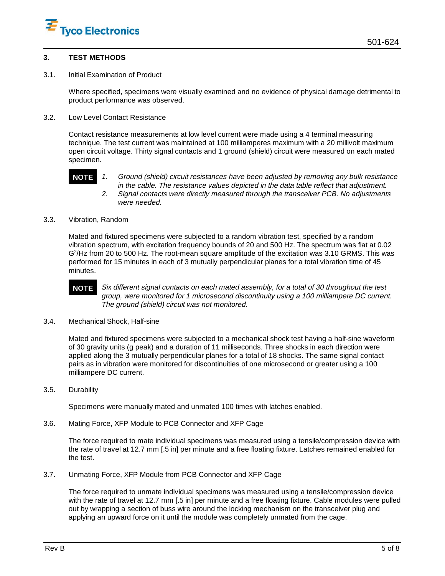

#### **3. TEST METHODS**

3.1. Initial Examination of Product

Where specified, specimens were visually examined and no evidence of physical damage detrimental to product performance was observed.

3.2. Low Level Contact Resistance

Contact resistance measurements at low level current were made using a 4 terminal measuring technique. The test current was maintained at 100 milliamperes maximum with a 20 millivolt maximum open circuit voltage. Thirty signal contacts and 1 ground (shield) circuit were measured on each mated specimen.



- **NOTE** 1. Ground (shield) circuit resistances have been adjusted by removing any bulk resistance in the cable. The resistance values depicted in the data table reflect that adjustment. 2. Signal contacts were directly measured through the transceiver PCB. No adjustments were needed.
- 3.3. Vibration, Random

Mated and fixtured specimens were subjected to a random vibration test, specified by a random vibration spectrum, with excitation frequency bounds of 20 and 500 Hz. The spectrum was flat at 0.02  $G<sup>2</sup>/Hz$  from 20 to 500 Hz. The root-mean square amplitude of the excitation was 3.10 GRMS. This was performed for 15 minutes in each of 3 mutually perpendicular planes for a total vibration time of 45 minutes.



**NOTE** Six different signal contacts on each mated assembly, for a total of 30 throughout the test group, were monitored for 1 microsecond discontinuity using a 100 milliampere DC current. The ground (shield) circuit was not monitored.

3.4. Mechanical Shock, Half-sine

Mated and fixtured specimens were subjected to a mechanical shock test having a half-sine waveform of 30 gravity units (g peak) and a duration of 11 milliseconds. Three shocks in each direction were applied along the 3 mutually perpendicular planes for a total of 18 shocks. The same signal contact pairs as in vibration were monitored for discontinuities of one microsecond or greater using a 100 milliampere DC current.

3.5. Durability

Specimens were manually mated and unmated 100 times with latches enabled.

3.6. Mating Force, XFP Module to PCB Connector and XFP Cage

The force required to mate individual specimens was measured using a tensile/compression device with the rate of travel at 12.7 mm [.5 in] per minute and a free floating fixture. Latches remained enabled for the test.

3.7. Unmating Force, XFP Module from PCB Connector and XFP Cage

The force required to unmate individual specimens was measured using a tensile/compression device with the rate of travel at 12.7 mm [.5 in] per minute and a free floating fixture. Cable modules were pulled out by wrapping a section of buss wire around the locking mechanism on the transceiver plug and applying an upward force on it until the module was completely unmated from the cage.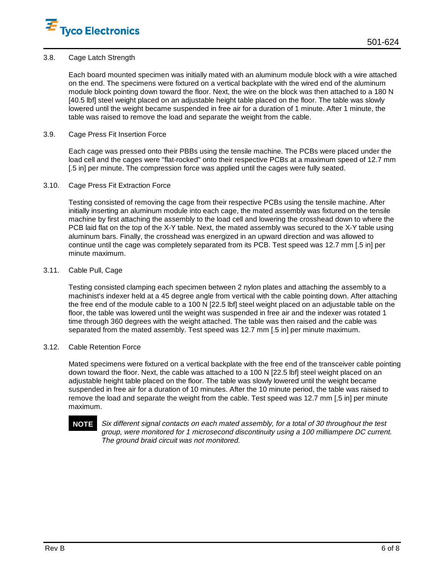

## 3.8. Cage Latch Strength

Each board mounted specimen was initially mated with an aluminum module block with a wire attached on the end. The specimens were fixtured on a vertical backplate with the wired end of the aluminum module block pointing down toward the floor. Next, the wire on the block was then attached to a 180 N [40.5 lbf] steel weight placed on an adjustable height table placed on the floor. The table was slowly lowered until the weight became suspended in free air for a duration of 1 minute. After 1 minute, the table was raised to remove the load and separate the weight from the cable.

#### 3.9. Cage Press Fit Insertion Force

Each cage was pressed onto their PBBs using the tensile machine. The PCBs were placed under the load cell and the cages were "flat-rocked" onto their respective PCBs at a maximum speed of 12.7 mm [.5 in] per minute. The compression force was applied until the cages were fully seated.

#### 3.10. Cage Press Fit Extraction Force

Testing consisted of removing the cage from their respective PCBs using the tensile machine. After initially inserting an aluminum module into each cage, the mated assembly was fixtured on the tensile machine by first attaching the assembly to the load cell and lowering the crosshead down to where the PCB laid flat on the top of the X-Y table. Next, the mated assembly was secured to the X-Y table using aluminum bars. Finally, the crosshead was energized in an upward direction and was allowed to continue until the cage was completely separated from its PCB. Test speed was 12.7 mm [.5 in] per minute maximum.

## 3.11. Cable Pull, Cage

Testing consisted clamping each specimen between 2 nylon plates and attaching the assembly to a machinist's indexer held at a 45 degree angle from vertical with the cable pointing down. After attaching the free end of the module cable to a 100 N [22.5 lbf] steel weight placed on an adjustable table on the floor, the table was lowered until the weight was suspended in free air and the indexer was rotated 1 time through 360 degrees with the weight attached. The table was then raised and the cable was separated from the mated assembly. Test speed was 12.7 mm [.5 in] per minute maximum.

## 3.12. Cable Retention Force

Mated specimens were fixtured on a vertical backplate with the free end of the transceiver cable pointing down toward the floor. Next, the cable was attached to a 100 N [22.5 lbf] steel weight placed on an adjustable height table placed on the floor. The table was slowly lowered until the weight became suspended in free air for a duration of 10 minutes. After the 10 minute period, the table was raised to remove the load and separate the weight from the cable. Test speed was 12.7 mm [.5 in] per minute maximum.

**NOTE** Six different signal contacts on each mated assembly, for a total of 30 throughout the test group, were monitored for 1 microsecond discontinuity using a 100 milliampere DC current. The ground braid circuit was not monitored.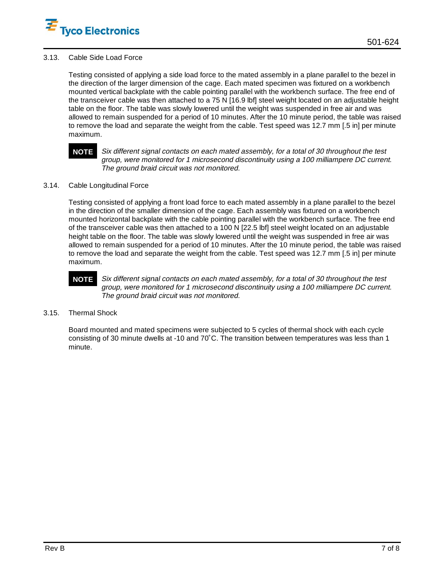

## 3.13. Cable Side Load Force

Testing consisted of applying a side load force to the mated assembly in a plane parallel to the bezel in the direction of the larger dimension of the cage. Each mated specimen was fixtured on a workbench mounted vertical backplate with the cable pointing parallel with the workbench surface. The free end of the transceiver cable was then attached to a 75 N [16.9 lbf] steel weight located on an adjustable height table on the floor. The table was slowly lowered until the weight was suspended in free air and was allowed to remain suspended for a period of 10 minutes. After the 10 minute period, the table was raised to remove the load and separate the weight from the cable. Test speed was 12.7 mm [.5 in] per minute maximum.

**NOTE** Six different signal contacts on each mated assembly, for a total of 30 throughout the test group, were monitored for 1 microsecond discontinuity using a 100 milliampere DC current. The ground braid circuit was not monitored.

# 3.14. Cable Longitudinal Force

Testing consisted of applying a front load force to each mated assembly in a plane parallel to the bezel in the direction of the smaller dimension of the cage. Each assembly was fixtured on a workbench mounted horizontal backplate with the cable pointing parallel with the workbench surface. The free end of the transceiver cable was then attached to a 100 N [22.5 lbf] steel weight located on an adjustable height table on the floor. The table was slowly lowered until the weight was suspended in free air was allowed to remain suspended for a period of 10 minutes. After the 10 minute period, the table was raised to remove the load and separate the weight from the cable. Test speed was 12.7 mm [.5 in] per minute maximum.

# **NOTE** Six different signal contacts on each mated assembly, for a total of 30 throughout the test group, were monitored for 1 microsecond discontinuity using a 100 milliampere DC current. The ground braid circuit was not monitored.

## 3.15. Thermal Shock

Board mounted and mated specimens were subjected to 5 cycles of thermal shock with each cycle consisting of 30 minute dwells at -10 and 70˚C. The transition between temperatures was less than 1<br>minute.<br>. minute.